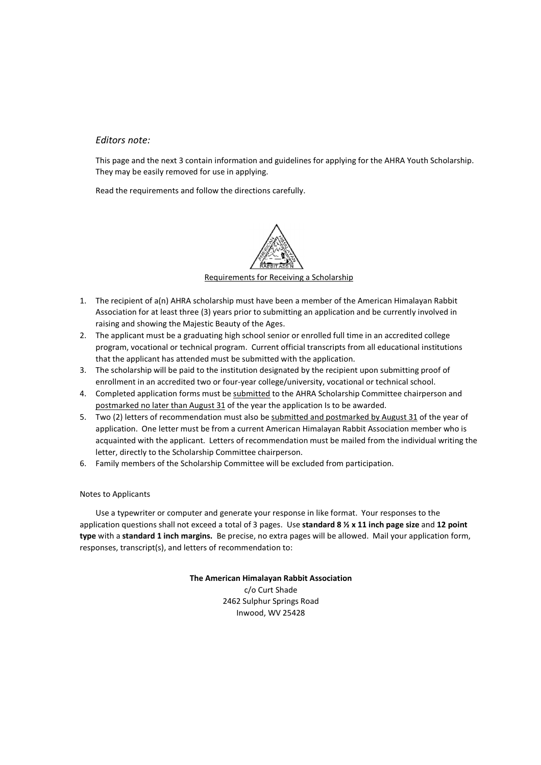### *Editors note:*

This page and the next 3 contain information and guidelines for applying for the AHRA Youth Scholarship. They may be easily removed for use in applying.

Read the requirements and follow the directions carefully.



- 1. The recipient of a(n) AHRA scholarship must have been a member of the American Himalayan Rabbit Association for at least three (3) years prior to submitting an application and be currently involved in raising and showing the Majestic Beauty of the Ages.
- 2. The applicant must be a graduating high school senior or enrolled full time in an accredited college program, vocational or technical program. Current official transcripts from all educational institutions that the applicant has attended must be submitted with the application.
- 3. The scholarship will be paid to the institution designated by the recipient upon submitting proof of enrollment in an accredited two or four-year college/university, vocational or technical school.
- 4. Completed application forms must be submitted to the AHRA Scholarship Committee chairperson and postmarked no later than August 31 of the year the application Is to be awarded.
- 5. Two (2) letters of recommendation must also be submitted and postmarked by August 31 of the year of application. One letter must be from a current American Himalayan Rabbit Association member who is acquainted with the applicant. Letters of recommendation must be mailed from the individual writing the letter, directly to the Scholarship Committee chairperson.
- 6. Family members of the Scholarship Committee will be excluded from participation.

#### Notes to Applicants

Use a typewriter or computer and generate your response in like format. Your responses to the application questions shall not exceed a total of 3 pages. Use **standard 8 ½ x 11 inch page size** and **12 point type** with a **standard 1 inch margins.** Be precise, no extra pages will be allowed. Mail your application form, responses, transcript(s), and letters of recommendation to:

> **The American Himalayan Rabbit Association** c/o Curt Shade 2462 Sulphur Springs Road Inwood, WV 25428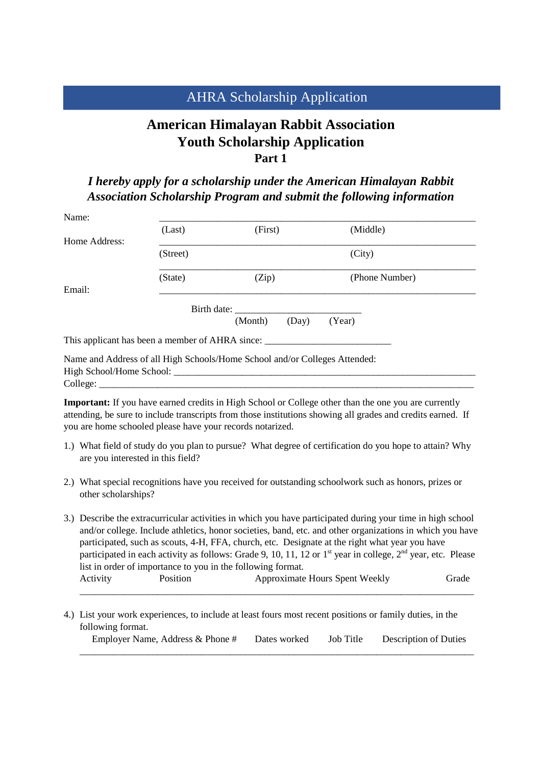# AHRA Scholarship Application

# **American Himalayan Rabbit Association Youth Scholarship Application Part 1**

*I hereby apply for a scholarship under the American Himalayan Rabbit Association Scholarship Program and submit the following information* 

| Name:         |          |                                                                            |                |  |
|---------------|----------|----------------------------------------------------------------------------|----------------|--|
|               | (Last)   | (First)                                                                    | (Middle)       |  |
| Home Address: |          |                                                                            |                |  |
|               | (Street) |                                                                            | (City)         |  |
|               | (State)  | (Zip)                                                                      | (Phone Number) |  |
| Email:        |          |                                                                            |                |  |
|               |          | Birth date:                                                                |                |  |
|               |          | (Month)<br>(Day)                                                           | (Year)         |  |
|               |          | This applicant has been a member of AHRA since:                            |                |  |
|               |          | Name and Address of all High Schools/Home School and/or Colleges Attended: |                |  |

High School/Home School: \_\_\_\_\_\_\_\_\_\_\_\_\_\_\_\_\_\_\_\_\_\_\_\_\_\_\_\_\_\_\_\_\_\_\_\_\_\_\_\_\_\_\_\_\_\_\_\_\_\_\_\_\_\_\_\_\_\_\_\_\_\_

College:

**Important:** If you have earned credits in High School or College other than the one you are currently attending, be sure to include transcripts from those institutions showing all grades and credits earned. If you are home schooled please have your records notarized.

- 1.) What field of study do you plan to pursue? What degree of certification do you hope to attain? Why are you interested in this field?
- 2.) What special recognitions have you received for outstanding schoolwork such as honors, prizes or other scholarships?
- 3.) Describe the extracurricular activities in which you have participated during your time in high school and/or college. Include athletics, honor societies, band, etc. and other organizations in which you have participated, such as scouts, 4-H, FFA, church, etc. Designate at the right what year you have participated in each activity as follows: Grade 9, 10, 11, 12 or  $1<sup>st</sup>$  year in college,  $2<sup>nd</sup>$  year, etc. Please list in order of importance to you in the following format. Activity Position Approximate Hours Spent Weekly Grade \_\_\_\_\_\_\_\_\_\_\_\_\_\_\_\_\_\_\_\_\_\_\_\_\_\_\_\_\_\_\_\_\_\_\_\_\_\_\_\_\_\_\_\_\_\_\_\_\_\_\_\_\_\_\_\_\_\_\_\_\_\_\_\_\_\_\_\_\_\_\_\_\_\_\_\_\_\_\_\_\_
- 4.) List your work experiences, to include at least fours most recent positions or family duties, in the following format.

| Employer Name, Address & Phone # Dates worked Job Title Description of Duties |  |  |
|-------------------------------------------------------------------------------|--|--|
|                                                                               |  |  |